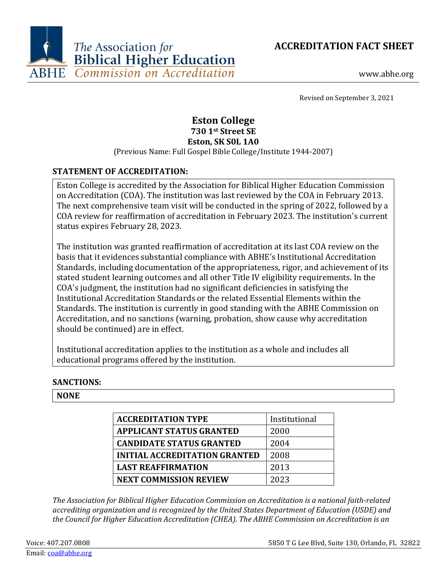



www.abhe.org

Revised on September 3, 2021

# **Eston College 730 1st Street SE Eston, SK S0L 1A0**

(Previous Name: Full Gospel Bible College/Institute 1944-2007)

## **STATEMENT OF ACCREDITATION:**

Eston College is accredited by the Association for Biblical Higher Education Commission on Accreditation (COA). The institution was last reviewed by the COA in February 2013. The next comprehensive team visit will be conducted in the spring of 2022, followed by a COA review for reaffirmation of accreditation in February 2023. The institution's current status expires February 28, 2023.

The institution was granted reaffirmation of accreditation at its last COA review on the basis that it evidences substantial compliance with ABHE's Institutional Accreditation Standards, including documentation of the appropriateness, rigor, and achievement of its stated student learning outcomes and all other Title IV eligibility requirements. In the COA's judgment, the institution had no significant deficiencies in satisfying the Institutional Accreditation Standards or the related Essential Elements within the Standards. The institution is currently in good standing with the ABHE Commission on Accreditation, and no sanctions (warning, probation, show cause why accreditation should be continued) are in effect.

Institutional accreditation applies to the institution as a whole and includes all educational programs offered by the institution.

### **SANCTIONS:**

### **NONE**

| <b>ACCREDITATION TYPE</b>            | Institutional |  |  |  |
|--------------------------------------|---------------|--|--|--|
| <b>APPLICANT STATUS GRANTED</b>      | 2000          |  |  |  |
| <b>CANDIDATE STATUS GRANTED</b>      | 2004          |  |  |  |
| <b>INITIAL ACCREDITATION GRANTED</b> | 2008          |  |  |  |
| <b>LAST REAFFIRMATION</b>            | 2013          |  |  |  |
| <b>NEXT COMMISSION REVIEW</b>        | 2023          |  |  |  |

*The Association for Biblical Higher Education Commission on Accreditation is a national faith-related accrediting organization and is recognized by the United States Department of Education (USDE) and the Council for Higher Education Accreditation (CHEA). The ABHE Commission on Accreditation is an*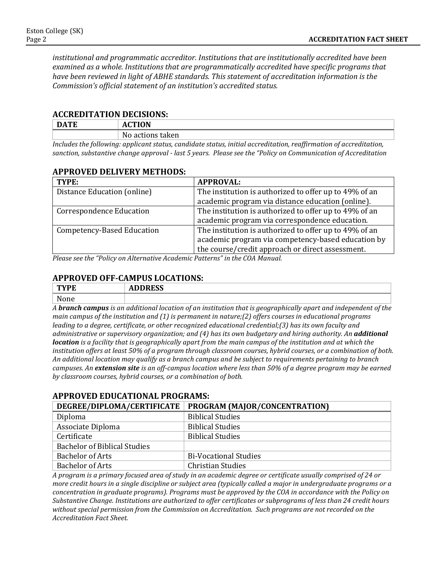*institutional and programmatic accreditor. Institutions that are institutionally accredited have been examined as a whole. Institutions that are programmatically accredited have specific programs that have been reviewed in light of ABHE standards. This statement of accreditation information is the Commission's official statement of an institution's accredited status.*

#### **ACCREDITATION DECISIONS:**

| <b>DATE</b>           | Δı                                       |
|-----------------------|------------------------------------------|
|                       | actions<br>taken<br>No                   |
| . .<br>, , , ,, ,,, . | $\sim$<br>.<br><br>.<br>.<br>.<br>.<br>. |

*Includes the following: applicant status, candidate status, initial accreditation, reaffirmation of accreditation, sanction, substantive change approval - last 5 years. Please see the "Policy on Communication of Accreditation*

#### **APPROVED DELIVERY METHODS:**

| The institution is authorized to offer up to 49% of an                                                     |
|------------------------------------------------------------------------------------------------------------|
| academic program via distance education (online).                                                          |
| The institution is authorized to offer up to 49% of an                                                     |
| academic program via correspondence education.                                                             |
| The institution is authorized to offer up to 49% of an                                                     |
| academic program via competency-based education by                                                         |
| the course/credit approach or direct assessment.                                                           |
| $D_{\text{max}}$ and the finalism on Alternative Association $D_{\text{min}}$ , $\theta$ in the COA Manual |

*Please see the "Policy on Alternative Academic Patterns" in the COA Manual.*

### **APPROVED OFF-CAMPUS LOCATIONS:**

| <b>CONTRACT</b> | $\mathbf{nnn}$<br>ADDREJJ |                  |                                           |              |   |              |                      |  |
|-----------------|---------------------------|------------------|-------------------------------------------|--------------|---|--------------|----------------------|--|
| <b>NT</b>       |                           |                  |                                           |              |   |              |                      |  |
| $\cdot$ $\cdot$ | $\mathbf{v}$<br>$\cdots$  | $\sim$<br>$\sim$ | $\sim$ $\sim$ $\sim$ $\sim$ $\sim$ $\sim$ | $\mathbf{r}$ | . | $\mathbf{r}$ | $\sim$ $\sim$ $\sim$ |  |

*A branch campus is an additional location of an institution that is geographically apart and independent of the main campus of the institution and (1) is permanent in nature;(2) offers courses in educational programs leading to a degree, certificate, or other recognized educational credential;(3) has its own faculty and administrative or supervisory organization; and (4) has its own budgetary and hiring authority. An additional location is a facility that is geographically apart from the main campus of the institution and at which the institution offers at least 50% of a program through classroom courses, hybrid courses, or a combination of both. An additional location may qualify as a branch campus and be subject to requirements pertaining to branch campuses. An extension site is an off-campus location where less than 50% of a degree program may be earned by classroom courses, hybrid courses, or a combination of both.*

### **DEGREE/DIPLOMA/CERTIFICATE PROGRAM (MAJOR/CONCENTRATION)** Diploma<br>Associate Diploma<br>Associate Diploma<br>Biblical Studies Associate Diploma<br>Certificate **Biblical Studies** Bachelor of Biblical Studies Bachelor of Arts<br>
Bi-Vocational Studies<br>
Bachelor of Arts<br>
Christian Studies Bachelor of Arts Christian Studies

**APPROVED EDUCATIONAL PROGRAMS:**

*A program is a primary focused area of study in an academic degree or certificate usually comprised of 24 or more credit hours in a single discipline or subject area (typically called a major in undergraduate programs or a concentration in graduate programs). Programs must be approved by the COA in accordance with the Policy on Substantive Change. Institutions are authorized to offer certificates or subprograms of less than 24 credit hours without special permission from the Commission on Accreditation. Such programs are not recorded on the Accreditation Fact Sheet.*